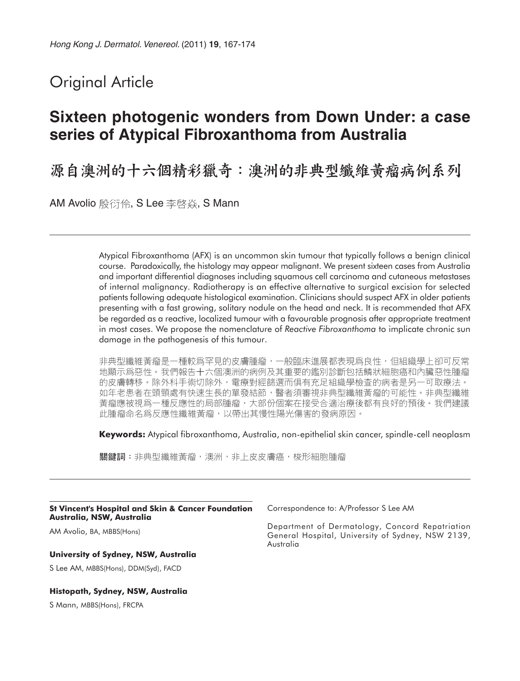# Original Article

# **Sixteen photogenic wonders from Down Under: a case series of Atypical Fibroxanthoma from Australia**

源自澳洲的十六個精彩獵奇:澳洲的非典型纖維黃瘤病例系列

AM Avolio 殷衍伶, S Lee 李啓焱, S Mann

Atypical Fibroxanthoma (AFX) is an uncommon skin tumour that typically follows a benign clinical course. Paradoxically, the histology may appear malignant. We present sixteen cases from Australia and important differential diagnoses including squamous cell carcinoma and cutaneous metastases of internal malignancy. Radiotherapy is an effective alternative to surgical excision for selected patients following adequate histological examination. Clinicians should suspect AFX in older patients presenting with a fast growing, solitary nodule on the head and neck. It is recommended that AFX be regarded as a reactive, localized tumour with a favourable prognosis after appropriate treatment in most cases. We propose the nomenclature of *Reactive Fibroxanthoma* to implicate chronic sun damage in the pathogenesis of this tumour.

非典型纖維黃瘤是一種較爲罕見的皮膚腫瘤,一般臨床進展都表現爲良性,但組織學上卻可反常 地顯示爲惡性。我們報告十六個澳洲的病例及其重要的鑑別診斷包括鱗狀細胞癌和內臟惡性腫瘤 的皮膚轉移。除外科手術切除外,電療對經篩選而俱有充足組織學檢查的病者是另一可取療法。 如年老患者在頭頸處有快速生長的單發結節,醫者須審視非典型纖維黃瘤的可能性。非典型纖維 黃瘤應被視爲一種反應性的局部腫瘤,大部份個案在接受合適治療後都有良好的預後。我們建議 此腫瘤命名爲反應性纖維黃瘤,以帶出其慢性陽光傷害的發病原因。

**Keywords:** Atypical fibroxanthoma, Australia, non-epithelial skin cancer, spindle-cell neoplasm

關鍵詞:非典型纖維黃瘤,澳洲,非上皮皮膚癌,梭形細胞腫瘤

#### **St Vincent's Hospital and Skin & Cancer Foundation Australia, NSW, Australia**

AM Avolio, BA, MBBS(Hons)

#### **University of Sydney, NSW, Australia**

S Lee AM, MBBS(Hons), DDM(Syd), FACD

#### **Histopath, Sydney, NSW, Australia**

S Mann, MBBS(Hons), FRCPA

Correspondence to: A/Professor S Lee AM

Department of Dermatology, Concord Repatriation General Hospital, University of Sydney, NSW 2139, Australia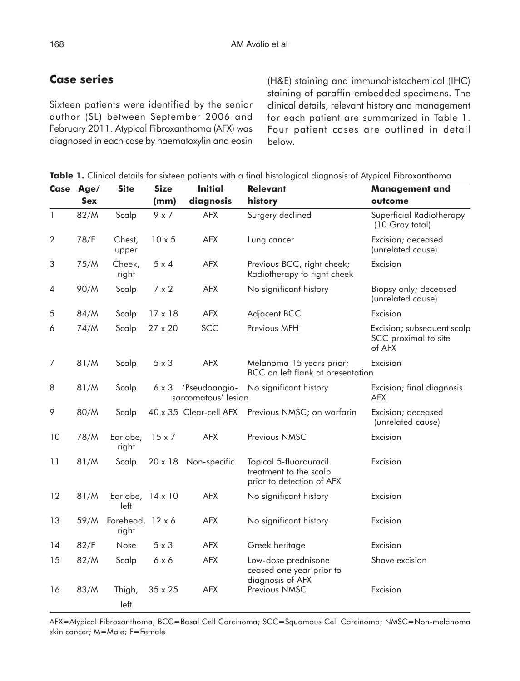## **Case series**

Sixteen patients were identified by the senior author (SL) between September 2006 and February 2011. Atypical Fibroxanthoma (AFX) was diagnosed in each case by haematoxylin and eosin (H&E) staining and immunohistochemical (IHC) staining of paraffin-embedded specimens. The clinical details, relevant history and management for each patient are summarized in Table 1. Four patient cases are outlined in detail below.

| Case           | Age/       | <b>Site</b>               | <b>Size</b>    | <b>Initial</b>                       | <b>Relevant</b>                                                               | <b>Management and</b>                                        |
|----------------|------------|---------------------------|----------------|--------------------------------------|-------------------------------------------------------------------------------|--------------------------------------------------------------|
|                | <b>Sex</b> |                           | (mm)           | diagnosis                            | history                                                                       | outcome                                                      |
| $\mathbf{1}$   | 82/M       | Scalp                     | $9 \times 7$   | <b>AFX</b>                           | Surgery declined                                                              | Superficial Radiotherapy<br>(10 Gray total)                  |
| $\overline{2}$ | 78/F       | Chest,<br>upper           | $10 \times 5$  | <b>AFX</b>                           | Lung cancer                                                                   | Excision; deceased<br>(unrelated cause)                      |
| 3              | 75/M       | Cheek,<br>right           | $5 \times 4$   | <b>AFX</b>                           | Previous BCC, right cheek;<br>Radiotherapy to right cheek                     | Excision                                                     |
| 4              | 90/M       | Scalp                     | $7 \times 2$   | <b>AFX</b>                           | No significant history                                                        | Biopsy only; deceased<br>(unrelated cause)                   |
| 5              | 84/M       | Scalp                     | $17 \times 18$ | <b>AFX</b>                           | Adjacent BCC                                                                  | Excision                                                     |
| 6              | 74/M       | Scalp                     | 27 x 20        | SCC                                  | Previous MFH                                                                  | Excision; subsequent scalp<br>SCC proximal to site<br>of AFX |
| 7              | 81/M       | Scalp                     | $5 \times 3$   | <b>AFX</b>                           | Melanoma 15 years prior;<br>BCC on left flank at presentation                 | Excision                                                     |
| 8              | 81/M       | Scalp                     | 6 x 3          | 'Pseudoangio-<br>sarcomatous' lesion | No significant history                                                        | Excision; final diagnosis<br><b>AFX</b>                      |
| 9              | 80/M       | Scalp                     |                |                                      | 40 x 35 Clear-cell AFX Previous NMSC; on warfarin                             | Excision; deceased<br>(unrelated cause)                      |
| 10             | 78/M       | Earlobe,<br>right         | $15 \times 7$  | <b>AFX</b>                           | Previous NMSC                                                                 | Excision                                                     |
| 11             | 81/M       | Scalp                     | $20 \times 18$ | Non-specific                         | Topical 5-fluorouracil<br>treatment to the scalp<br>prior to detection of AFX | Excision                                                     |
| 12             | 81/M       | Earlobe, 14 x 10<br>left  |                | <b>AFX</b>                           | No significant history                                                        | Excision                                                     |
| 13             | 59/M       | Forehead, 12 x 6<br>right |                | <b>AFX</b>                           | No significant history                                                        | Excision                                                     |
| 14             | 82/F       | Nose                      | $5 \times 3$   | <b>AFX</b>                           | Greek heritage                                                                | Excision                                                     |
| 15             | 82/M       | Scalp                     | $6 \times 6$   | <b>AFX</b>                           | Low-dose prednisone<br>ceased one year prior to<br>diagnosis of AFX           | Shave excision                                               |
| 16             | 83/M       | Thigh,<br>left            | $35 \times 25$ | <b>AFX</b>                           | Previous NMSC                                                                 | Excision                                                     |

AFX=Atypical Fibroxanthoma; BCC=Basal Cell Carcinoma; SCC=Squamous Cell Carcinoma; NMSC=Non-melanoma skin cancer; M=Male; F=Female

**Table 1.** Clinical details for sixteen patients with a final histological diagnosis of Atypical Fibroxanthoma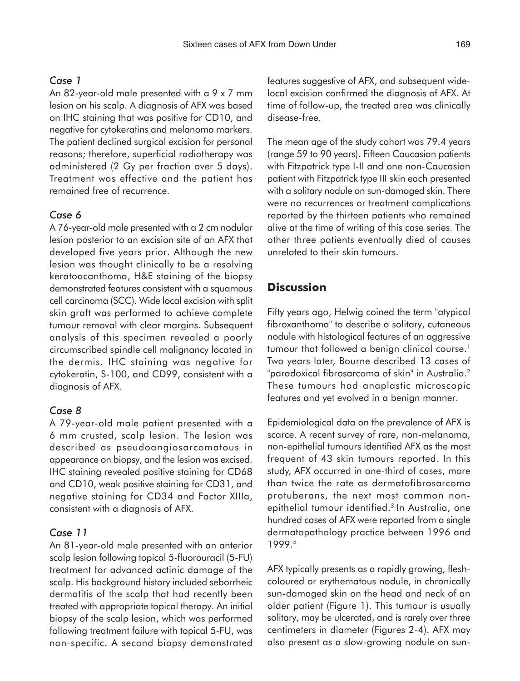#### *Case 1*

An 82-year-old male presented with a 9 x 7 mm lesion on his scalp. A diagnosis of AFX was based on IHC staining that was positive for CD10, and negative for cytokeratins and melanoma markers. The patient declined surgical excision for personal reasons; therefore, superficial radiotherapy was administered (2 Gy per fraction over 5 days). Treatment was effective and the patient has remained free of recurrence.

#### *Case 6*

A 76-year-old male presented with a 2 cm nodular lesion posterior to an excision site of an AFX that developed five years prior. Although the new lesion was thought clinically to be a resolving keratoacanthoma, H&E staining of the biopsy demonstrated features consistent with a squamous cell carcinoma (SCC). Wide local excision with split skin graft was performed to achieve complete tumour removal with clear margins. Subsequent analysis of this specimen revealed a poorly circumscribed spindle cell malignancy located in the dermis. IHC staining was negative for cytokeratin, S-100, and CD99, consistent with a diagnosis of AFX.

### *Case 8*

A 79-year-old male patient presented with a 6 mm crusted, scalp lesion. The lesion was described as pseudoangiosarcomatous in appearance on biopsy, and the lesion was excised. IHC staining revealed positive staining for CD68 and CD10, weak positive staining for CD31, and negative staining for CD34 and Factor XIIIa, consistent with a diagnosis of AFX.

#### *Case 11*

An 81-year-old male presented with an anterior scalp lesion following topical 5-fluorouracil (5-FU) treatment for advanced actinic damage of the scalp. His background history included seborrheic dermatitis of the scalp that had recently been treated with appropriate topical therapy. An initial biopsy of the scalp lesion, which was performed following treatment failure with topical 5-FU, was non-specific. A second biopsy demonstrated features suggestive of AFX, and subsequent widelocal excision confirmed the diagnosis of AFX. At time of follow-up, the treated area was clinically disease-free.

The mean age of the study cohort was 79.4 years (range 59 to 90 years). Fifteen Caucasian patients with Fitzpatrick type I-II and one non-Caucasian patient with Fitzpatrick type III skin each presented with a solitary nodule on sun-damaged skin. There were no recurrences or treatment complications reported by the thirteen patients who remained alive at the time of writing of this case series. The other three patients eventually died of causes unrelated to their skin tumours.

## **Discussion**

Fifty years ago, Helwig coined the term "atypical fibroxanthoma" to describe a solitary, cutaneous nodule with histological features of an aggressive tumour that followed a benign clinical course.<sup>1</sup> Two years later, Bourne described 13 cases of "paradoxical fibrosarcoma of skin" in Australia.<sup>2</sup> These tumours had anaplastic microscopic features and yet evolved in a benign manner.

Epidemiological data on the prevalence of AFX is scarce. A recent survey of rare, non-melanoma, non-epithelial tumours identified AFX as the most frequent of 43 skin tumours reported. In this study, AFX occurred in one-third of cases, more than twice the rate as dermatofibrosarcoma protuberans, the next most common nonepithelial tumour identified.<sup>3</sup> In Australia, one hundred cases of AFX were reported from a single dermatopathology practice between 1996 and 1999.4

AFX typically presents as a rapidly growing, fleshcoloured or erythematous nodule, in chronically sun-damaged skin on the head and neck of an older patient (Figure 1). This tumour is usually solitary, may be ulcerated, and is rarely over three centimeters in diameter (Figures 2-4). AFX may also present as a slow-growing nodule on sun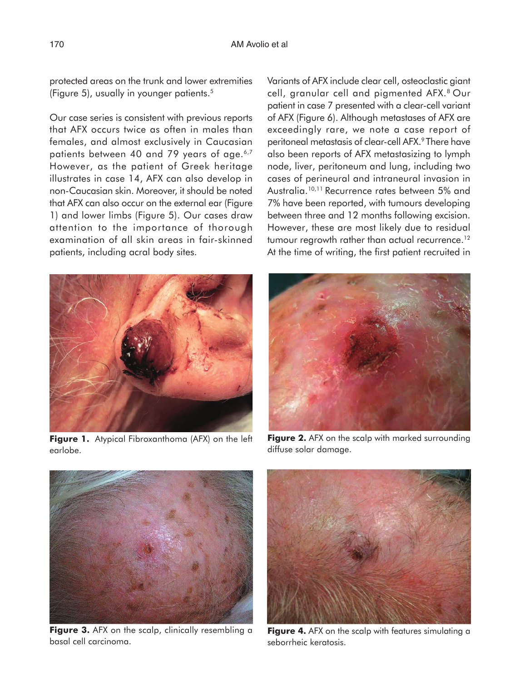protected areas on the trunk and lower extremities (Figure 5), usually in younger patients.5

Our case series is consistent with previous reports that AFX occurs twice as often in males than females, and almost exclusively in Caucasian patients between 40 and 79 years of age.<sup>6,7</sup> However, as the patient of Greek heritage illustrates in case 14, AFX can also develop in non-Caucasian skin. Moreover, it should be noted that AFX can also occur on the external ear (Figure 1) and lower limbs (Figure 5). Our cases draw attention to the importance of thorough examination of all skin areas in fair-skinned patients, including acral body sites.

Variants of AFX include clear cell, osteoclastic giant cell, granular cell and pigmented AFX.8 Our patient in case 7 presented with a clear-cell variant of AFX (Figure 6). Although metastases of AFX are exceedingly rare, we note a case report of peritoneal metastasis of clear-cell AFX.<sup>9</sup> There have also been reports of AFX metastasizing to lymph node, liver, peritoneum and lung, including two cases of perineural and intraneural invasion in Australia.10,11 Recurrence rates between 5% and 7% have been reported, with tumours developing between three and 12 months following excision. However, these are most likely due to residual tumour regrowth rather than actual recurrence.<sup>12</sup> At the time of writing, the first patient recruited in



**Figure 1.** Atypical Fibroxanthoma (AFX) on the left earlobe.



**Figure 2.** AFX on the scalp with marked surrounding diffuse solar damage.



**Figure 3.** AFX on the scalp, clinically resembling a basal cell carcinoma.



**Figure 4.** AFX on the scalp with features simulating a seborrheic keratosis.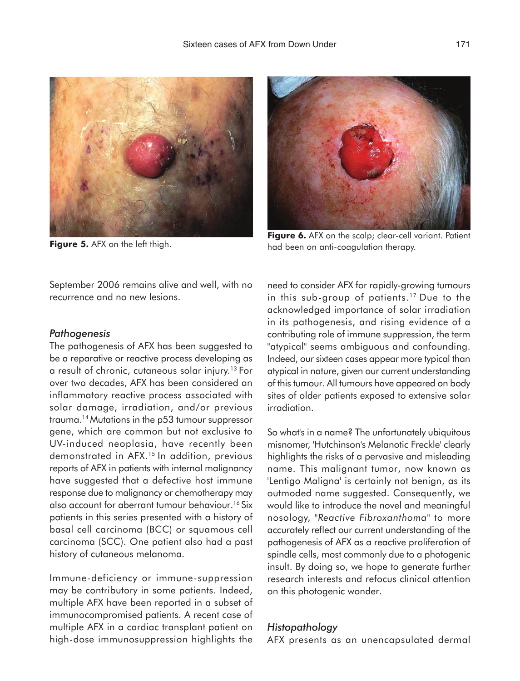



**Figure 6.** AFX on the scalp; clear-cell variant. Patient **Figure 6.** AFX on the scalp; clear-cell variant. Patient **Figure 5.** AFX on the left thigh. had been on anti-coagulation therapy.

September 2006 remains alive and well, with no recurrence and no new lesions.

#### *Pathogenesis*

The pathogenesis of AFX has been suggested to be a reparative or reactive process developing as a result of chronic, cutaneous solar injury.13 For over two decades, AFX has been considered an inflammatory reactive process associated with solar damage, irradiation, and/or previous trauma.14 Mutations in the p53 tumour suppressor gene, which are common but not exclusive to UV-induced neoplasia, have recently been demonstrated in AFX.15 In addition, previous reports of AFX in patients with internal malignancy have suggested that a defective host immune response due to malignancy or chemotherapy may also account for aberrant tumour behaviour.<sup>16</sup> Six patients in this series presented with a history of basal cell carcinoma (BCC) or squamous cell carcinoma (SCC). One patient also had a past history of cutaneous melanoma.

Immune-deficiency or immune-suppression may be contributory in some patients. Indeed, multiple AFX have been reported in a subset of immunocompromised patients. A recent case of multiple AFX in a cardiac transplant patient on high-dose immunosuppression highlights the

need to consider AFX for rapidly-growing tumours in this sub-group of patients.<sup>17</sup> Due to the acknowledged importance of solar irradiation in its pathogenesis, and rising evidence of a contributing role of immune suppression, the term "atypical" seems ambiguous and confounding. Indeed, our sixteen cases appear more typical than atypical in nature, given our current understanding of this tumour. All tumours have appeared on body sites of older patients exposed to extensive solar irradiation.

So what's in a name? The unfortunately ubiquitous misnomer, 'Hutchinson's Melanotic Freckle' clearly highlights the risks of a pervasive and misleading name. This malignant tumor, now known as 'Lentigo Maligna' is certainly not benign, as its outmoded name suggested. Consequently, we would like to introduce the novel and meaningful nosology, "*Reactive Fibroxanthoma*" to more accurately reflect our current understanding of the pathogenesis of AFX as a reactive proliferation of spindle cells, most commonly due to a photogenic insult. By doing so, we hope to generate further research interests and refocus clinical attention on this photogenic wonder.

#### *Histopathology*

AFX presents as an unencapsulated dermal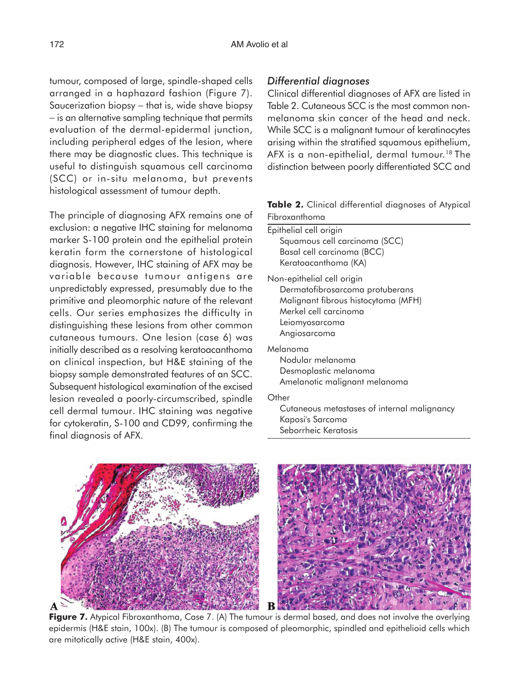tumour, composed of large, spindle-shaped cells arranged in a haphazard fashion (Figure 7). Saucerization biopsy – that is, wide shave biopsy − is an alternative sampling technique that permits evaluation of the dermal-epidermal junction, including peripheral edges of the lesion, where there may be diagnostic clues. This technique is useful to distinguish squamous cell carcinoma (SCC) or in-situ melanoma, but prevents histological assessment of tumour depth.

The principle of diagnosing AFX remains one of exclusion: a negative IHC staining for melanom marker S-100 protein and the epithelial protein keratin form the cornerstone of histological diagnosis. However, IHC staining of AFX may b variable because tumour antigens ar unpredictably expressed, presumably due to the primitive and pleomorphic nature of the releva cells. Our series emphasizes the difficulty distinguishing these lesions from other commo cutaneous tumours. One lesion (case 6) was initially described as a resolving keratoacanthom on clinical inspection, but H&E staining of the biopsy sample demonstrated features of an SCC Subsequent histological examination of the excise lesion revealed a poorly-circumscribed, spind cell dermal tumour. IHC staining was negativ for cytokeratin, S-100 and CD99, confirming the final diagnosis of AFX.

### *Differential diagnoses*

Clinical differential diagnoses of AFX are listed in Table 2. Cutaneous SCC is the most common nonmelanoma skin cancer of the head and neck. While SCC is a malignant tumour of keratinocytes arising within the stratified squamous epithelium, AFX is a non-epithelial, dermal tumour.<sup>18</sup> The distinction between poorly differentiated SCC and

|               | Table 2. Clinical differential diagnoses of Atypical |  |
|---------------|------------------------------------------------------|--|
| Fibroxanthoma |                                                      |  |

| ١a<br>in<br>al | Epithelial cell origin<br>Squamous cell carcinoma (SCC)<br>Basal cell carcinoma (BCC) |  |  |  |  |  |
|----------------|---------------------------------------------------------------------------------------|--|--|--|--|--|
| òе             | Keratoacanthoma (KA)                                                                  |  |  |  |  |  |
| e<br>١e        | Non-epithelial cell origin<br>Dermatofibrosarcoma protuberans                         |  |  |  |  |  |
| nt             | Malignant fibrous histocytoma (MFH)                                                   |  |  |  |  |  |
| in             | Merkel cell carcinoma                                                                 |  |  |  |  |  |
| 'n             | Leiomyosarcoma                                                                        |  |  |  |  |  |
| <b>IS</b>      | Angiosarcoma                                                                          |  |  |  |  |  |
| ١a             | Melanoma                                                                              |  |  |  |  |  |
| ١e             | Nodular melanoma                                                                      |  |  |  |  |  |
| Ξ.             | Desmoplastic melanoma                                                                 |  |  |  |  |  |
| эq             | Amelanotic malignant melanoma                                                         |  |  |  |  |  |
| le             | Other                                                                                 |  |  |  |  |  |
| /e             | Cutaneous metastases of internal malignancy                                           |  |  |  |  |  |
| $\sim$         | Kaposi's Sarcoma                                                                      |  |  |  |  |  |

Seborrheic Keratosis



**Figure 7.** Atypical Fibroxanthoma, Case 7. (A) The tumour is dermal based, and does not involve the overlying epidermis (H&E stain, 100x). (B) The tumour is composed of pleomorphic, spindled and epithelioid cells which are mitotically active (H&E stain, 400x).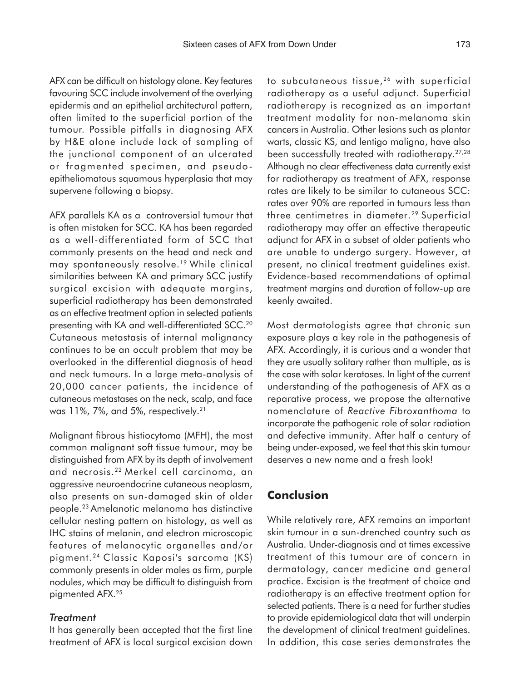AFX can be difficult on histology alone. Key features favouring SCC include involvement of the overlying epidermis and an epithelial architectural pattern, often limited to the superficial portion of the tumour. Possible pitfalls in diagnosing AFX by H&E alone include lack of sampling of the junctional component of an ulcerated or fragmented specimen, and pseudoepitheliomatous squamous hyperplasia that may supervene following a biopsy.

AFX parallels KA as a controversial tumour that is often mistaken for SCC. KA has been regarded as a well-differentiated form of SCC that commonly presents on the head and neck and may spontaneously resolve.<sup>19</sup> While clinical similarities between KA and primary SCC justify surgical excision with adequate margins, superficial radiotherapy has been demonstrated as an effective treatment option in selected patients presenting with KA and well-differentiated SCC.<sup>20</sup> Cutaneous metastasis of internal malignancy continues to be an occult problem that may be overlooked in the differential diagnosis of head and neck tumours. In a large meta-analysis of 20,000 cancer patients, the incidence of cutaneous metastases on the neck, scalp, and face was 11%, 7%, and 5%, respectively.<sup>21</sup>

Malignant fibrous histiocytoma (MFH), the most common malignant soft tissue tumour, may be distinguished from AFX by its depth of involvement and necrosis.22 Merkel cell carcinoma, an aggressive neuroendocrine cutaneous neoplasm, also presents on sun-damaged skin of older people.23 Amelanotic melanoma has distinctive cellular nesting pattern on histology, as well as IHC stains of melanin, and electron microscopic features of melanocytic organelles and/or pigment.24 Classic Kaposi's sarcoma (KS) commonly presents in older males as firm, purple nodules, which may be difficult to distinguish from pigmented AFX.25

#### *Treatment*

It has generally been accepted that the first line treatment of AFX is local surgical excision down to subcutaneous tissue,<sup>26</sup> with superficial radiotherapy as a useful adjunct. Superficial radiotherapy is recognized as an important treatment modality for non-melanoma skin cancers in Australia. Other lesions such as plantar warts, classic KS, and lentigo maligna, have also been successfully treated with radiotherapy.27,28 Although no clear effectiveness data currently exist for radiotherapy as treatment of AFX, response rates are likely to be similar to cutaneous SCC: rates over 90% are reported in tumours less than three centimetres in diameter.29 Superficial radiotherapy may offer an effective therapeutic adjunct for AFX in a subset of older patients who are unable to undergo surgery. However, at present, no clinical treatment guidelines exist. Evidence-based recommendations of optimal treatment margins and duration of follow-up are keenly awaited.

Most dermatologists agree that chronic sun exposure plays a key role in the pathogenesis of AFX. Accordingly, it is curious and a wonder that they are usually solitary rather than multiple, as is the case with solar keratoses. In light of the current understanding of the pathogenesis of AFX as a reparative process, we propose the alternative nomenclature of *Reactive Fibroxanthoma* to incorporate the pathogenic role of solar radiation and defective immunity. After half a century of being under-exposed, we feel that this skin tumour deserves a new name and a fresh look!

## **Conclusion**

While relatively rare, AFX remains an important skin tumour in a sun-drenched country such as Australia. Under-diagnosis and at times excessive treatment of this tumour are of concern in dermatology, cancer medicine and general practice. Excision is the treatment of choice and radiotherapy is an effective treatment option for selected patients. There is a need for further studies to provide epidemiological data that will underpin the development of clinical treatment guidelines. In addition, this case series demonstrates the